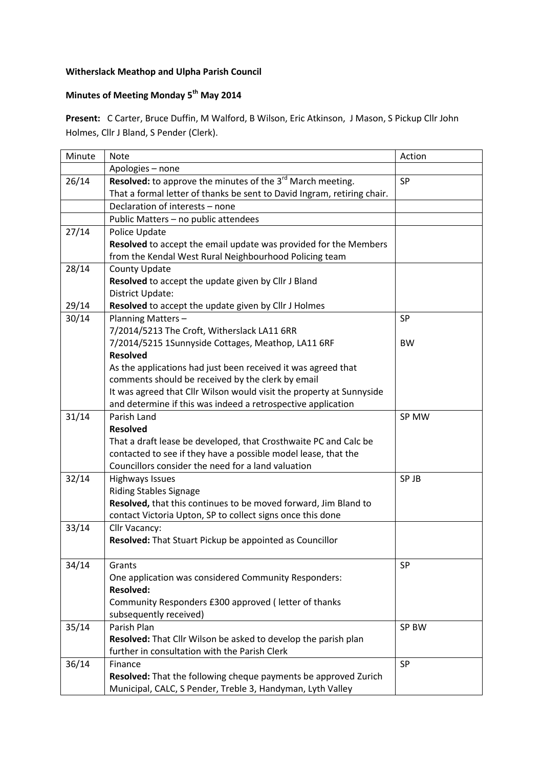## **Witherslack Meathop and Ulpha Parish Council**

## **Minutes of Meeting Monday 5th May 2014**

**Present:** C Carter, Bruce Duffin, M Walford, B Wilson, Eric Atkinson, J Mason, S Pickup Cllr John Holmes, Cllr J Bland, S Pender (Clerk).

| Minute | <b>Note</b>                                                             | Action    |
|--------|-------------------------------------------------------------------------|-----------|
|        | Apologies - none                                                        |           |
| 26/14  | Resolved: to approve the minutes of the 3 <sup>rd</sup> March meeting.  | SP        |
|        | That a formal letter of thanks be sent to David Ingram, retiring chair. |           |
|        | Declaration of interests - none                                         |           |
|        | Public Matters - no public attendees                                    |           |
| 27/14  | Police Update                                                           |           |
|        | Resolved to accept the email update was provided for the Members        |           |
|        | from the Kendal West Rural Neighbourhood Policing team                  |           |
| 28/14  | County Update                                                           |           |
|        | Resolved to accept the update given by Cllr J Bland                     |           |
|        | District Update:                                                        |           |
| 29/14  | Resolved to accept the update given by Cllr J Holmes                    |           |
| 30/14  | Planning Matters-                                                       | <b>SP</b> |
|        | 7/2014/5213 The Croft, Witherslack LA11 6RR                             |           |
|        | 7/2014/5215 1Sunnyside Cottages, Meathop, LA11 6RF                      | <b>BW</b> |
|        | <b>Resolved</b>                                                         |           |
|        | As the applications had just been received it was agreed that           |           |
|        | comments should be received by the clerk by email                       |           |
|        | It was agreed that Cllr Wilson would visit the property at Sunnyside    |           |
|        | and determine if this was indeed a retrospective application            |           |
| 31/14  | Parish Land                                                             | SP MW     |
|        | <b>Resolved</b>                                                         |           |
|        | That a draft lease be developed, that Crosthwaite PC and Calc be        |           |
|        | contacted to see if they have a possible model lease, that the          |           |
|        | Councillors consider the need for a land valuation                      |           |
| 32/14  | <b>Highways Issues</b>                                                  | SP JB     |
|        | <b>Riding Stables Signage</b>                                           |           |
|        | Resolved, that this continues to be moved forward, Jim Bland to         |           |
|        | contact Victoria Upton, SP to collect signs once this done              |           |
| 33/14  | Cllr Vacancy:                                                           |           |
|        | <b>Resolved:</b> That Stuart Pickup be appointed as Councillor          |           |
| 34/14  |                                                                         | SP        |
|        | Grants<br>One application was considered Community Responders:          |           |
|        | <b>Resolved:</b>                                                        |           |
|        | Community Responders £300 approved (letter of thanks                    |           |
|        | subsequently received)                                                  |           |
| 35/14  | Parish Plan                                                             | SP BW     |
|        | Resolved: That Cllr Wilson be asked to develop the parish plan          |           |
|        | further in consultation with the Parish Clerk                           |           |
| 36/14  | Finance                                                                 | <b>SP</b> |
|        | Resolved: That the following cheque payments be approved Zurich         |           |
|        | Municipal, CALC, S Pender, Treble 3, Handyman, Lyth Valley              |           |